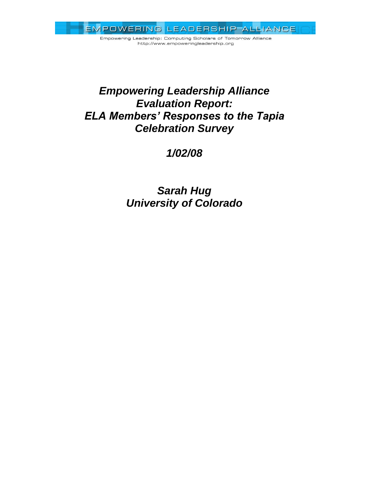Empowering Leadership: Computing Scholars of Tomorrow Alliance http://www.empoweringleadership.org

# *Empowering Leadership Alliance Evaluation Report: ELA Members' Responses to the Tapia Celebration Survey*

*1/02/08*

*Sarah Hug University of Colorado*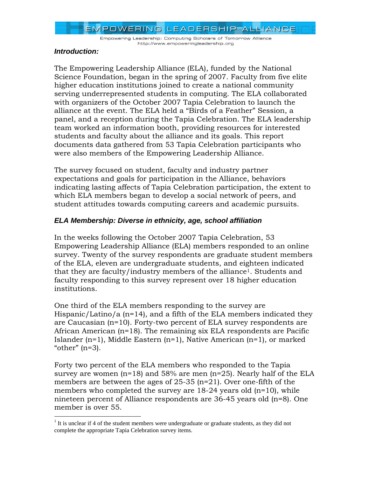Empowering Leadership: Computing Scholars of Tomorrow Alliance http://www.empoweringleadership.org

## *Introduction:*

 $\overline{a}$ 

The Empowering Leadership Alliance (ELA), funded by the National Science Foundation, began in the spring of 2007. Faculty from five elite higher education institutions joined to create a national community serving underrepresented students in computing. The ELA collaborated with organizers of the October 2007 Tapia Celebration to launch the alliance at the event. The ELA held a "Birds of a Feather" Session, a panel, and a reception during the Tapia Celebration. The ELA leadership team worked an information booth, providing resources for interested students and faculty about the alliance and its goals. This report documents data gathered from 53 Tapia Celebration participants who were also members of the Empowering Leadership Alliance.

The survey focused on student, faculty and industry partner expectations and goals for participation in the Alliance, behaviors indicating lasting affects of Tapia Celebration participation, the extent to which ELA members began to develop a social network of peers, and student attitudes towards computing careers and academic pursuits.

# *ELA Membership: Diverse in ethnicity, age, school affiliation*

In the weeks following the October 2007 Tapia Celebration, 53 Empowering Leadership Alliance (ELA) members responded to an online survey. Twenty of the survey respondents are graduate student members of the ELA, eleven are undergraduate students, and eighteen indicated that they are faculty/industry members of the alliance<sup>1</sup>. Students and faculty responding to this survey represent over 18 higher education institutions.

One third of the ELA members responding to the survey are Hispanic/Latino/a (n=14), and a fifth of the ELA members indicated they are Caucasian (n=10). Forty-two percent of ELA survey respondents are African American (n=18). The remaining six ELA respondents are Pacific Islander (n=1), Middle Eastern (n=1), Native American (n=1), or marked " $other"$  ( $n=3$ ).

Forty two percent of the ELA members who responded to the Tapia survey are women (n=18) and 58% are men (n=25). Nearly half of the ELA members are between the ages of 25-35 (n=21). Over one-fifth of the members who completed the survey are  $18-24$  years old  $(n=10)$ , while nineteen percent of Alliance respondents are 36-45 years old (n=8). One member is over 55.

<sup>&</sup>lt;sup>1</sup> It is unclear if 4 of the student members were undergraduate or graduate students, as they did not complete the appropriate Tapia Celebration survey items.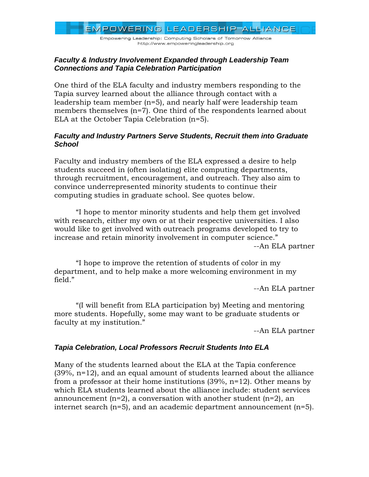Empowering Leadership: Computing Scholars of Tomorrow Alliance http://www.empoweringleadership.org

## *Faculty & Industry Involvement Expanded through Leadership Team Connections and Tapia Celebration Participation*

One third of the ELA faculty and industry members responding to the Tapia survey learned about the alliance through contact with a leadership team member (n=5), and nearly half were leadership team members themselves (n=7). One third of the respondents learned about ELA at the October Tapia Celebration (n=5).

## *Faculty and Industry Partners Serve Students, Recruit them into Graduate School*

Faculty and industry members of the ELA expressed a desire to help students succeed in (often isolating) elite computing departments, through recruitment, encouragement, and outreach. They also aim to convince underrepresented minority students to continue their computing studies in graduate school. See quotes below.

"I hope to mentor minority students and help them get involved with research, either my own or at their respective universities. I also would like to get involved with outreach programs developed to try to increase and retain minority involvement in computer science." --An ELA partner

"I hope to improve the retention of students of color in my department, and to help make a more welcoming environment in my field."

--An ELA partner

"(I will benefit from ELA participation by) Meeting and mentoring more students. Hopefully, some may want to be graduate students or faculty at my institution."

--An ELA partner

# *Tapia Celebration, Local Professors Recruit Students Into ELA*

Many of the students learned about the ELA at the Tapia conference  $(39\%, n=12)$ , and an equal amount of students learned about the alliance from a professor at their home institutions (39%, n=12). Other means by which ELA students learned about the alliance include: student services announcement  $(n=2)$ , a conversation with another student  $(n=2)$ , an internet search (n=5), and an academic department announcement (n=5).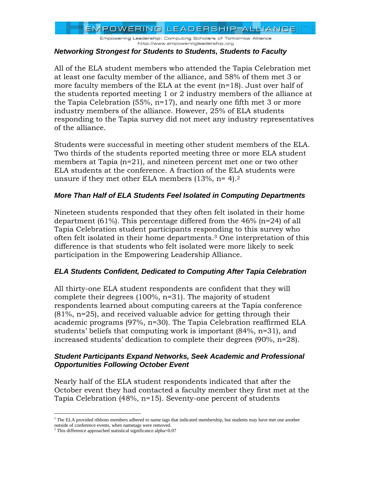Empowering Leadership: Computing Scholars of Tomorrow Alliance http://www.empoweringleadership.org

#### *Networking Strongest for Students to Students, Students to Faculty*

All of the ELA student members who attended the Tapia Celebration met at least one faculty member of the alliance, and 58% of them met 3 or more faculty members of the ELA at the event (n=18). Just over half of the students reported meeting 1 or 2 industry members of the alliance at the Tapia Celebration (55%, n=17), and nearly one fifth met 3 or more industry members of the alliance. However, 25% of ELA students responding to the Tapia survey did not meet any industry representatives of the alliance.

Students were successful in meeting other student members of the ELA. Two thirds of the students reported meeting three or more ELA student members at Tapia (n=21), and nineteen percent met one or two other ELA students at the conference. A fraction of the ELA students were unsure if they met other ELA members  $(13\%, n=4).2$ 

## *More Than Half of ELA Students Feel Isolated in Computing Departments*

Nineteen students responded that they often felt isolated in their home department (61%). This percentage differed from the 46% (n=24) of all Tapia Celebration student participants responding to this survey who often felt isolated in their home departments.<sup>3</sup> One interpretation of this difference is that students who felt isolated were more likely to seek participation in the Empowering Leadership Alliance.

# *ELA Students Confident, Dedicated to Computing After Tapia Celebration*

All thirty-one ELA student respondents are confident that they will complete their degrees (100%, n=31). The majority of student respondents learned about computing careers at the Tapia conference (81%, n=25), and received valuable advice for getting through their academic programs (97%, n=30). The Tapia Celebration reaffirmed ELA students' beliefs that computing work is important (84%, n=31), and increased students' dedication to complete their degrees (90%, n=28).

## *Student Participants Expand Networks, Seek Academic and Professional Opportunities Following October Event*

Nearly half of the ELA student respondents indicated that after the October event they had contacted a faculty member they first met at the Tapia Celebration (48%, n=15). Seventy-one percent of students

 $\overline{a}$ 

 $<sup>2</sup>$  The ELA provided ribbons members adhered to name tags that indicated membership, but students may have met one another</sup> outside of conference events, when nametags were removed.

<sup>3</sup> This difference approached statistical significance alpha=0.07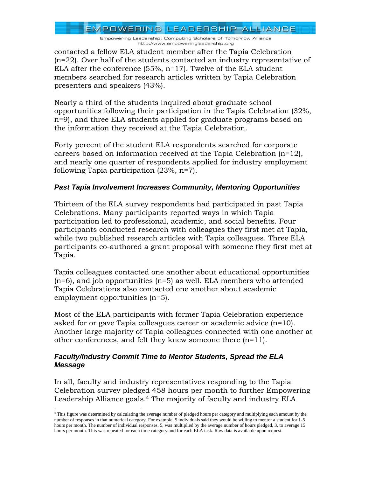Empowering Leadership: Computing Scholars of Tomorrow Alliance http://www.empoweringleadership.org

contacted a fellow ELA student member after the Tapia Celebration (n=22). Over half of the students contacted an industry representative of ELA after the conference  $(55\%, n=17)$ . Twelve of the ELA student members searched for research articles written by Tapia Celebration presenters and speakers (43%).

Nearly a third of the students inquired about graduate school opportunities following their participation in the Tapia Celebration (32%, n=9), and three ELA students applied for graduate programs based on the information they received at the Tapia Celebration.

Forty percent of the student ELA respondents searched for corporate careers based on information received at the Tapia Celebration  $(n=12)$ , and nearly one quarter of respondents applied for industry employment following Tapia participation (23%, n=7).

# *Past Tapia Involvement Increases Community, Mentoring Opportunities*

Thirteen of the ELA survey respondents had participated in past Tapia Celebrations. Many participants reported ways in which Tapia participation led to professional, academic, and social benefits. Four participants conducted research with colleagues they first met at Tapia, while two published research articles with Tapia colleagues. Three ELA participants co-authored a grant proposal with someone they first met at Tapia.

Tapia colleagues contacted one another about educational opportunities  $(n=6)$ , and job opportunities  $(n=5)$  as well. ELA members who attended Tapia Celebrations also contacted one another about academic employment opportunities (n=5).

Most of the ELA participants with former Tapia Celebration experience asked for or gave Tapia colleagues career or academic advice (n=10). Another large majority of Tapia colleagues connected with one another at other conferences, and felt they knew someone there (n=11).

## *Faculty/Industry Commit Time to Mentor Students, Spread the ELA Message*

 $\overline{a}$ 

In all, faculty and industry representatives responding to the Tapia Celebration survey pledged 458 hours per month to further Empowering Leadership Alliance goals.<sup>4</sup> The majority of faculty and industry ELA

<sup>4</sup> This figure was determined by calculating the average number of pledged hours per category and multiplying each amount by the number of responses in that numerical category. For example, 5 individuals said they would be willing to mentor a student for 1-5 hours per month. The number of individual responses, 5, was multiplied by the average number of hours pledged, 3, to average 15 hours per month. This was repeated for each time category and for each ELA task. Raw data is available upon request.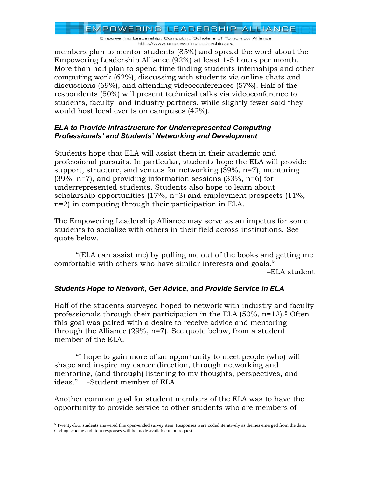Empowering Leadership: Computing Scholars of Tomorrow Alliance http://www.empoweringleadership.org

members plan to mentor students (85%) and spread the word about the Empowering Leadership Alliance (92%) at least 1-5 hours per month. More than half plan to spend time finding students internships and other computing work (62%), discussing with students via online chats and discussions (69%), and attending videoconferences (57%). Half of the respondents (50%) will present technical talks via videoconference to students, faculty, and industry partners, while slightly fewer said they would host local events on campuses (42%).

## *ELA to Provide Infrastructure for Underrepresented Computing Professionals' and Students' Networking and Development*

Students hope that ELA will assist them in their academic and professional pursuits. In particular, students hope the ELA will provide support, structure, and venues for networking (39%, n=7), mentoring (39%, n=7), and providing information sessions (33%, n=6) for underrepresented students. Students also hope to learn about scholarship opportunities (17%, n=3) and employment prospects (11%, n=2) in computing through their participation in ELA.

The Empowering Leadership Alliance may serve as an impetus for some students to socialize with others in their field across institutions. See quote below.

"(ELA can assist me) by pulling me out of the books and getting me comfortable with others who have similar interests and goals." –ELA student

# *Students Hope to Network, Get Advice, and Provide Service in ELA*

Half of the students surveyed hoped to network with industry and faculty professionals through their participation in the ELA  $(50\%, n=12)$ .<sup>5</sup> Often this goal was paired with a desire to receive advice and mentoring through the Alliance (29%, n=7). See quote below, from a student member of the ELA.

"I hope to gain more of an opportunity to meet people (who) will shape and inspire my career direction, through networking and mentoring, (and through) listening to my thoughts, perspectives, and ideas." -Student member of ELA

Another common goal for student members of the ELA was to have the opportunity to provide service to other students who are members of

 $\overline{a}$  $5$  Twenty-four students answered this open-ended survey item. Responses were coded iteratively as themes emerged from the data. Coding scheme and item responses will be made available upon request.